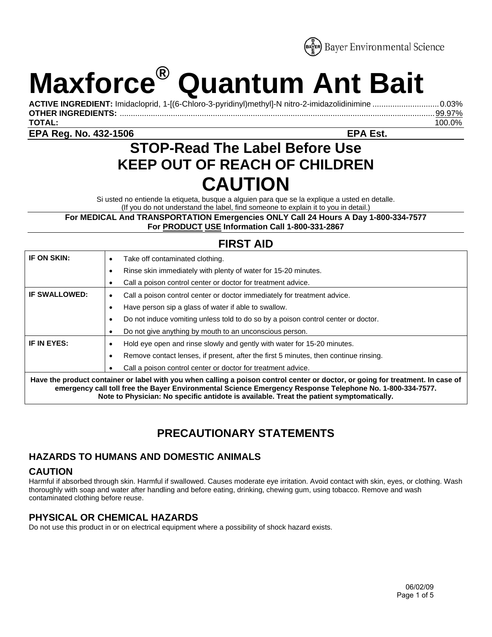

# **Maxforce® Quantum Ant Bait**

**ACTIVE INGREDIENT:** Imidacloprid, 1-[(6-Chloro-3-pyridinyl)methyl]-N nitro-2-imidazolidinimine ..............................0.03% **OTHER INGREDIENTS:** ..............................................................................................................................................99.97% **TOTAL:** 100.0%

**EPA Reg. No. 432-1506 EPA Est.** 

# **STOP-Read The Label Before Use KEEP OUT OF REACH OF CHILDREN CAUTION**

Si usted no entiende la etiqueta, busque a alguien para que se la explique a usted en detalle. (If you do not understand the label, find someone to explain it to you in detail.)

**For MEDICAL And TRANSPORTATION Emergencies ONLY Call 24 Hours A Day 1-800-334-7577 For PRODUCT USE Information Call 1-800-331-2867** 

## **FIRST AID**

| IF ON SKIN:                                                                                                                                                                                                                                                                                                                              | Take off contaminated clothing.<br>٠                                                      |
|------------------------------------------------------------------------------------------------------------------------------------------------------------------------------------------------------------------------------------------------------------------------------------------------------------------------------------------|-------------------------------------------------------------------------------------------|
|                                                                                                                                                                                                                                                                                                                                          | Rinse skin immediately with plenty of water for 15-20 minutes.<br>٠                       |
|                                                                                                                                                                                                                                                                                                                                          | Call a poison control center or doctor for treatment advice.                              |
| <b>IF SWALLOWED:</b>                                                                                                                                                                                                                                                                                                                     | Call a poison control center or doctor immediately for treatment advice.<br>٠             |
|                                                                                                                                                                                                                                                                                                                                          | Have person sip a glass of water if able to swallow.<br>٠                                 |
|                                                                                                                                                                                                                                                                                                                                          | Do not induce vomiting unless told to do so by a poison control center or doctor.<br>٠    |
|                                                                                                                                                                                                                                                                                                                                          | Do not give anything by mouth to an unconscious person.                                   |
| IF IN EYES:                                                                                                                                                                                                                                                                                                                              | Hold eye open and rinse slowly and gently with water for 15-20 minutes.<br>٠              |
|                                                                                                                                                                                                                                                                                                                                          | Remove contact lenses, if present, after the first 5 minutes, then continue rinsing.<br>٠ |
|                                                                                                                                                                                                                                                                                                                                          | Call a poison control center or doctor for treatment advice.                              |
| Have the product container or label with you when calling a poison control center or doctor, or going for treatment. In case of<br>emergency call toll free the Bayer Environmental Science Emergency Response Telephone No. 1-800-334-7577.<br>Note to Physician: No specific antidote is available. Treat the patient symptomatically. |                                                                                           |

# **PRECAUTIONARY STATEMENTS**

### **HAZARDS TO HUMANS AND DOMESTIC ANIMALS**

#### **CAUTION**

Harmful if absorbed through skin. Harmful if swallowed. Causes moderate eye irritation. Avoid contact with skin, eyes, or clothing. Wash thoroughly with soap and water after handling and before eating, drinking, chewing gum, using tobacco. Remove and wash contaminated clothing before reuse.

#### **PHYSICAL OR CHEMICAL HAZARDS**

Do not use this product in or on electrical equipment where a possibility of shock hazard exists.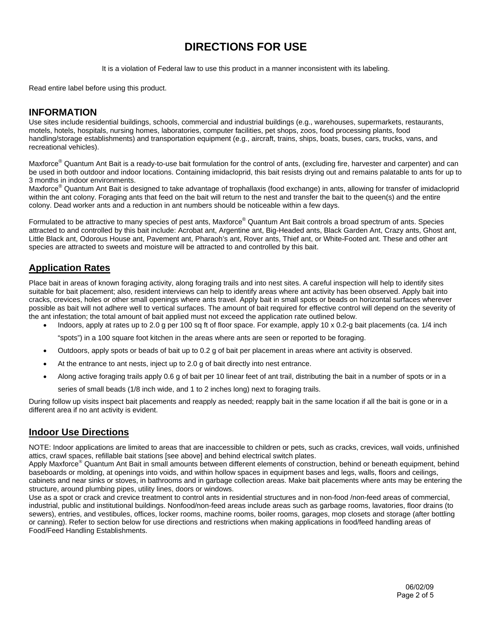# **DIRECTIONS FOR USE**

It is a violation of Federal law to use this product in a manner inconsistent with its labeling.

Read entire label before using this product.

#### **INFORMATION**

Use sites include residential buildings, schools, commercial and industrial buildings (e.g., warehouses, supermarkets, restaurants, motels, hotels, hospitals, nursing homes, laboratories, computer facilities, pet shops, zoos, food processing plants, food handling/storage establishments) and transportation equipment (e.g., aircraft, trains, ships, boats, buses, cars, trucks, vans, and recreational vehicles).

Maxforce<sup>®</sup> Quantum Ant Bait is a ready-to-use bait formulation for the control of ants, (excluding fire, harvester and carpenter) and can be used in both outdoor and indoor locations. Containing imidacloprid, this bait resists drying out and remains palatable to ants for up to 3 months in indoor environments.

Maxforce<sup>®</sup> Quantum Ant Bait is designed to take advantage of trophallaxis (food exchange) in ants, allowing for transfer of imidacloprid within the ant colony. Foraging ants that feed on the bait will return to the nest and transfer the bait to the queen(s) and the entire colony. Dead worker ants and a reduction in ant numbers should be noticeable within a few days.

Formulated to be attractive to many species of pest ants, Maxforce® Quantum Ant Bait controls a broad spectrum of ants. Species attracted to and controlled by this bait include: Acrobat ant, Argentine ant, Big-Headed ants, Black Garden Ant, Crazy ants, Ghost ant, Little Black ant, Odorous House ant, Pavement ant, Pharaoh's ant, Rover ants, Thief ant, or White-Footed ant. These and other ant species are attracted to sweets and moisture will be attracted to and controlled by this bait.

#### **Application Rates**

Place bait in areas of known foraging activity, along foraging trails and into nest sites. A careful inspection will help to identify sites suitable for bait placement; also, resident interviews can help to identify areas where ant activity has been observed. Apply bait into cracks, crevices, holes or other small openings where ants travel. Apply bait in small spots or beads on horizontal surfaces wherever possible as bait will not adhere well to vertical surfaces. The amount of bait required for effective control will depend on the severity of the ant infestation; the total amount of bait applied must not exceed the application rate outlined below.

- Indoors, apply at rates up to 2.0 g per 100 sq ft of floor space. For example, apply 10 x 0.2-g bait placements (ca. 1/4 inch
	- "spots") in a 100 square foot kitchen in the areas where ants are seen or reported to be foraging.
- Outdoors, apply spots or beads of bait up to 0.2 g of bait per placement in areas where ant activity is observed.
- At the entrance to ant nests, inject up to 2.0 g of bait directly into nest entrance.
- Along active foraging trails apply 0.6 g of bait per 10 linear feet of ant trail, distributing the bait in a number of spots or in a series of small beads (1/8 inch wide, and 1 to 2 inches long) next to foraging trails.

During follow up visits inspect bait placements and reapply as needed; reapply bait in the same location if all the bait is gone or in a different area if no ant activity is evident.

#### **Indoor Use Directions**

NOTE: Indoor applications are limited to areas that are inaccessible to children or pets, such as cracks, crevices, wall voids, unfinished attics, crawl spaces, refillable bait stations [see above] and behind electrical switch plates.

Apply Maxforce® Quantum Ant Bait in small amounts between different elements of construction, behind or beneath equipment, behind baseboards or molding, at openings into voids, and within hollow spaces in equipment bases and legs, walls, floors and ceilings, cabinets and near sinks or stoves, in bathrooms and in garbage collection areas. Make bait placements where ants may be entering the structure, around plumbing pipes, utility lines, doors or windows.

Use as a spot or crack and crevice treatment to control ants in residential structures and in non-food /non-feed areas of commercial, industrial, public and institutional buildings. Nonfood/non-feed areas include areas such as garbage rooms, lavatories, floor drains (to sewers), entries, and vestibules, offices, locker rooms, machine rooms, boiler rooms, garages, mop closets and storage (after bottling or canning). Refer to section below for use directions and restrictions when making applications in food/feed handling areas of Food/Feed Handling Establishments.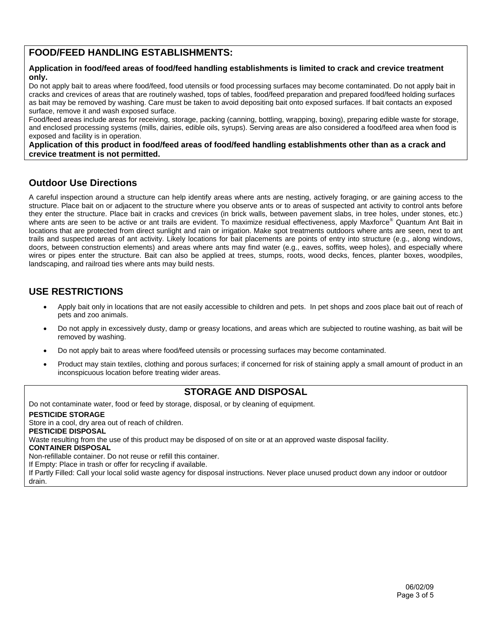#### **FOOD/FEED HANDLING ESTABLISHMENTS:**

#### **Application in food/feed areas of food/feed handling establishments is limited to crack and crevice treatment only.**

Do not apply bait to areas where food/feed, food utensils or food processing surfaces may become contaminated. Do not apply bait in cracks and crevices of areas that are routinely washed, tops of tables, food/feed preparation and prepared food/feed holding surfaces as bait may be removed by washing. Care must be taken to avoid depositing bait onto exposed surfaces. If bait contacts an exposed surface, remove it and wash exposed surface.

Food/feed areas include areas for receiving, storage, packing (canning, bottling, wrapping, boxing), preparing edible waste for storage, and enclosed processing systems (mills, dairies, edible oils, syrups). Serving areas are also considered a food/feed area when food is exposed and facility is in operation.

**Application of this product in food/feed areas of food/feed handling establishments other than as a crack and crevice treatment is not permitted.** 

#### **Outdoor Use Directions**

A careful inspection around a structure can help identify areas where ants are nesting, actively foraging, or are gaining access to the structure. Place bait on or adjacent to the structure where you observe ants or to areas of suspected ant activity to control ants before they enter the structure. Place bait in cracks and crevices (in brick walls, between pavement slabs, in tree holes, under stones, etc.) where ants are seen to be active or ant trails are evident. To maximize residual effectiveness, apply Maxforce® Quantum Ant Bait in locations that are protected from direct sunlight and rain or irrigation. Make spot treatments outdoors where ants are seen, next to ant trails and suspected areas of ant activity. Likely locations for bait placements are points of entry into structure (e.g., along windows, doors, between construction elements) and areas where ants may find water (e.g., eaves, soffits, weep holes), and especially where wires or pipes enter the structure. Bait can also be applied at trees, stumps, roots, wood decks, fences, planter boxes, woodpiles, landscaping, and railroad ties where ants may build nests.

#### **USE RESTRICTIONS**

- Apply bait only in locations that are not easily accessible to children and pets. In pet shops and zoos place bait out of reach of pets and zoo animals.
- Do not apply in excessively dusty, damp or greasy locations, and areas which are subjected to routine washing, as bait will be removed by washing.
- Do not apply bait to areas where food/feed utensils or processing surfaces may become contaminated.
- Product may stain textiles, clothing and porous surfaces; if concerned for risk of staining apply a small amount of product in an inconspicuous location before treating wider areas.

#### **STORAGE AND DISPOSAL**

Do not contaminate water, food or feed by storage, disposal, or by cleaning of equipment.

#### **PESTICIDE STORAGE**

Store in a cool, dry area out of reach of children.

#### **PESTICIDE DISPOSAL**

Waste resulting from the use of this product may be disposed of on site or at an approved waste disposal facility.

**CONTAINER DISPOSAL** 

Non-refillable container. Do not reuse or refill this container.

If Empty: Place in trash or offer for recycling if available.

If Partly Filled: Call your local solid waste agency for disposal instructions. Never place unused product down any indoor or outdoor drain.